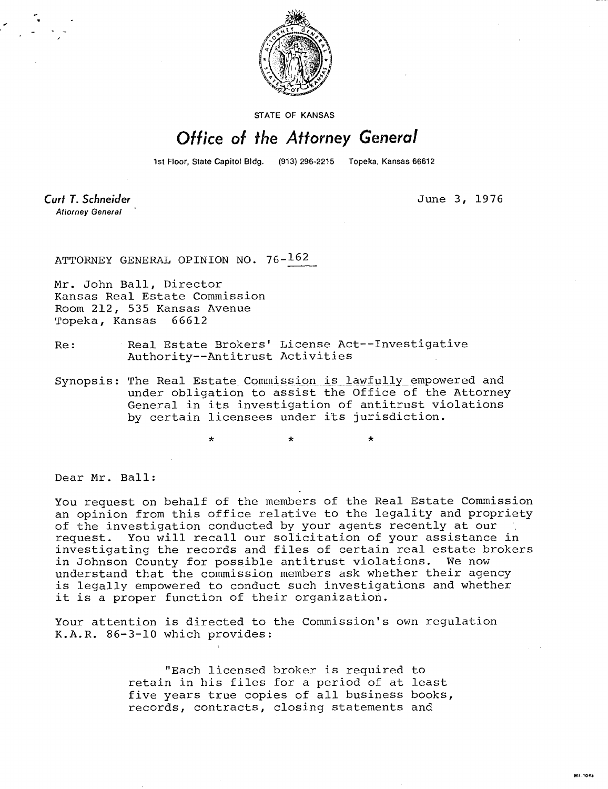

STATE OF KANSAS

## Office of the Attorney General

1st Floor, State Capitol Bldg. (913) 296-2215 Topeka, Kansas 66612

Curt T. Schneider **Atiorney General** 

June 3, 1976

ATTORNEY GENERAL OPINION NO. 76-162

Mr. John Ball, Director Kansas Real Estate Commission Room 212, 535 Kansas Avenue Topeka, Kansas 66612

- Re: Real Estate Brokers' License Act--Investigative Authority--Antitrust Activities
- Synopsis: The Real Estate Commission is lawfully empowered and under obligation to assist the Office of the Attorney General in its investigation of antitrust violations by certain licensees under its jurisdiction.

Dear Mr. Ball:

You request on behalf of the members of the Real Estate Commission an opinion from this office relative to the legality and propriety of the investigation conducted by your agents recently at our request. You will recall our solicitation of your assistance in investigating the records and files of certain real estate brokers in Johnson County for possible antitrust violations. We now understand that the commission members ask whether their agency is legally empowered to conduct such investigations and whether it is a proper function of their organization.

Your attention is directed to the Commission's own regulation K.A.R. 86-3-10 which provides:

> "Each licensed broker is required to retain in his files for a period of at least five years true copies of all business books, records, contracts, closing statements and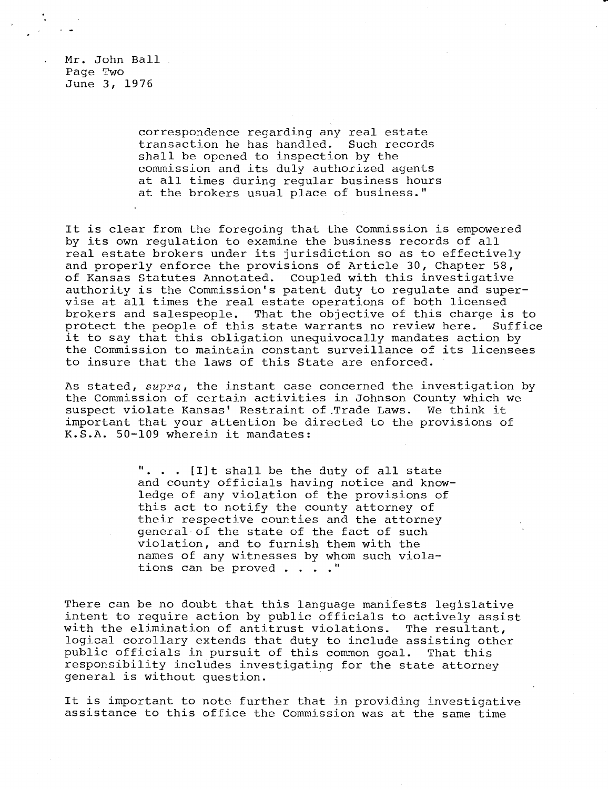Mr. John Ball Page Two June 3, 1976

> correspondence regarding any real estate transaction he has handled. Such records shall be opened to inspection by the commission and its duly authorized agents at all times during regular business hours at the brokers usual place of business."

It is clear from the foregoing that the Commission is empowered by its own regulation to examine the business records of all real estate brokers under its jurisdiction so as to effectively and properly enforce the provisions of Article 30, Chapter 58, of Kansas Statutes Annotated. Coupled with this investigative authority is the Commission's patent duty to regulate and supervise at all times the real estate operations of both licensed brokers and salespeople. That the objective of this charge is to protect the people of this state warrants no review here. Suffice it to say that this obligation unequivocally mandates action by the Commission to maintain constant surveillance of its licensees to insure that the laws of this State are enforced.

As stated,  $supra$ , the instant case concerned the investigation by the Commission of certain activities in Johnson County which we suspect violate Kansas' Restraint of , Trade Laws. We think it important that your attention be directed to the provisions of K.S.A. 50-109 wherein it mandates:

> ". . . [I]t shall be the duty of all state and county officials having notice and knowledge of any violation of the provisions of this act to notify the county attorney of their respective counties and the attorney general of the state of the fact of such violation, and to furnish them with the names of any witnesses by whom such violations can be proved . . . ."

There can be no doubt that this language manifests legislative intent to require action by public officials to actively assist with the elimination of antitrust violations. The resultant, logical corollary extends that duty to include assisting other public officials in pursuit of this common goal. That this responsibility includes investigating for the state attorney general is without question.

It is important to note further that in providing investigative assistance to this office the Commission was at the same time